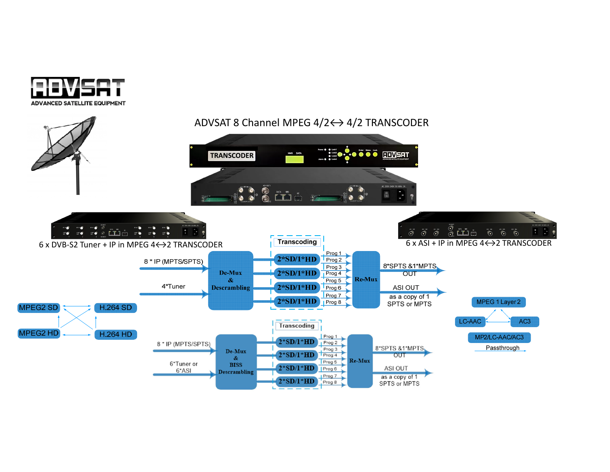

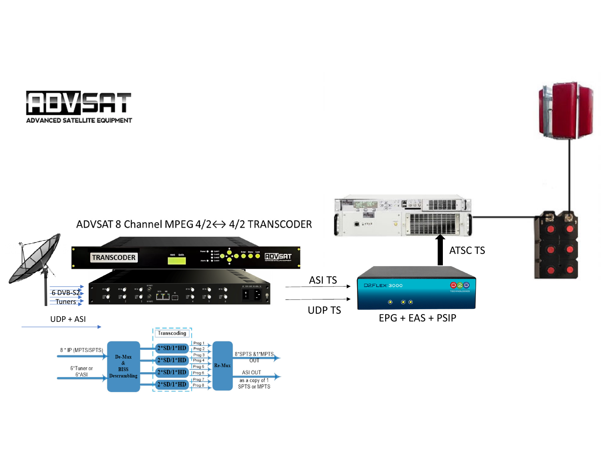



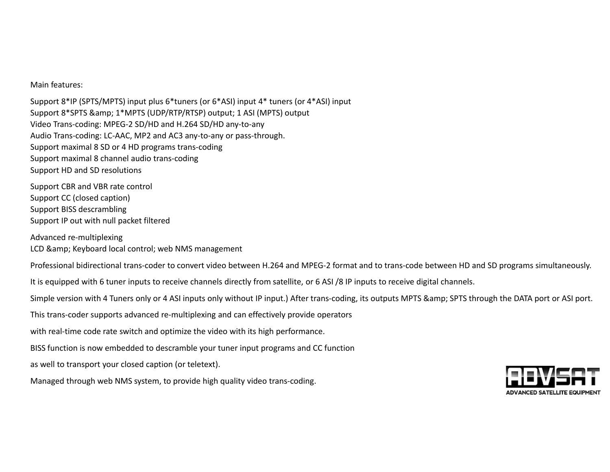Main features:

Support 8\*IP (SPTS/MPTS) input plus 6\*tuners (or 6\*ASI) input 4\* tuners (or 4\*ASI) input Support 8\*SPTS & amp; 1\*MPTS (UDP/RTP/RTSP) output; 1 ASI (MPTS) output Video Trans‐coding: MPEG‐2 SD/HD and H.264 SD/HD any‐to‐any Audio Trans‐coding: LC‐AAC, MP2 and AC3 any‐to‐any or pass‐through. Support maximal 8 SD or 4 HD programs trans‐coding Support maximal 8 channel audio trans‐coding Support HD and SD resolutions

Support CBR and VBR rate control Support CC (closed caption) Support BISS descrambling Support IP out with null packet filtered

Advanced re‐multiplexing LCD & Keyboard local control; web NMS management

Professional bidirectional trans‐coder to convert video between H.264 and MPEG‐2 format and to trans‐code between HD and SD programs simultaneously.

It is equipped with 6 tuner inputs to receive channels directly from satellite, or 6 ASI /8 IP inputs to receive digital channels.

Simple version with 4 Tuners only or 4 ASI inputs only without IP input.) After trans-coding, its outputs MPTS & amp; SPTS through the DATA port or ASI port.

This trans‐coder supports advanced re‐multiplexing and can effectively provide operators

with real‐time code rate switch and optimize the video with its high performance.

BISS function is now embedded to descramble your tuner input programs and CC function

as well to transport your closed caption (or teletext).

Managed through web NMS system, to provide high quality video trans‐coding.